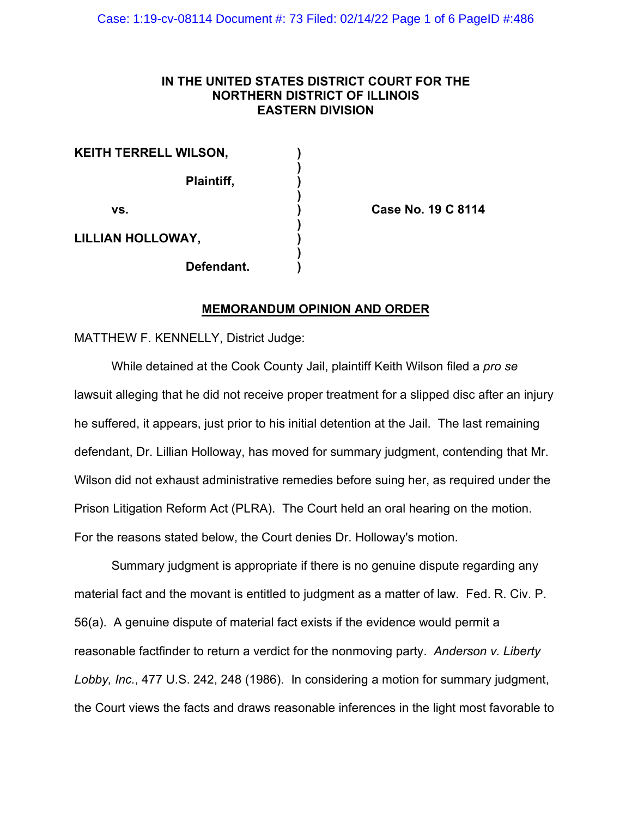# **IN THE UNITED STATES DISTRICT COURT FOR THE NORTHERN DISTRICT OF ILLINOIS EASTERN DIVISION**

| KEITH TERRELL WILSON, |            |  |
|-----------------------|------------|--|
|                       | Plaintiff, |  |
| VS.                   |            |  |
| LILLIAN HOLLOWAY,     |            |  |
|                       | Defendant. |  |

**vs. ) Case No. 19 C 8114**

# **MEMORANDUM OPINION AND ORDER**

MATTHEW F. KENNELLY, District Judge:

While detained at the Cook County Jail, plaintiff Keith Wilson filed a *pro se* lawsuit alleging that he did not receive proper treatment for a slipped disc after an injury he suffered, it appears, just prior to his initial detention at the Jail. The last remaining defendant, Dr. Lillian Holloway, has moved for summary judgment, contending that Mr. Wilson did not exhaust administrative remedies before suing her, as required under the Prison Litigation Reform Act (PLRA). The Court held an oral hearing on the motion. For the reasons stated below, the Court denies Dr. Holloway's motion.

Summary judgment is appropriate if there is no genuine dispute regarding any material fact and the movant is entitled to judgment as a matter of law. Fed. R. Civ. P. 56(a). A genuine dispute of material fact exists if the evidence would permit a reasonable factfinder to return a verdict for the nonmoving party. *Anderson v. Liberty Lobby, Inc.*, 477 U.S. 242, 248 (1986). In considering a motion for summary judgment, the Court views the facts and draws reasonable inferences in the light most favorable to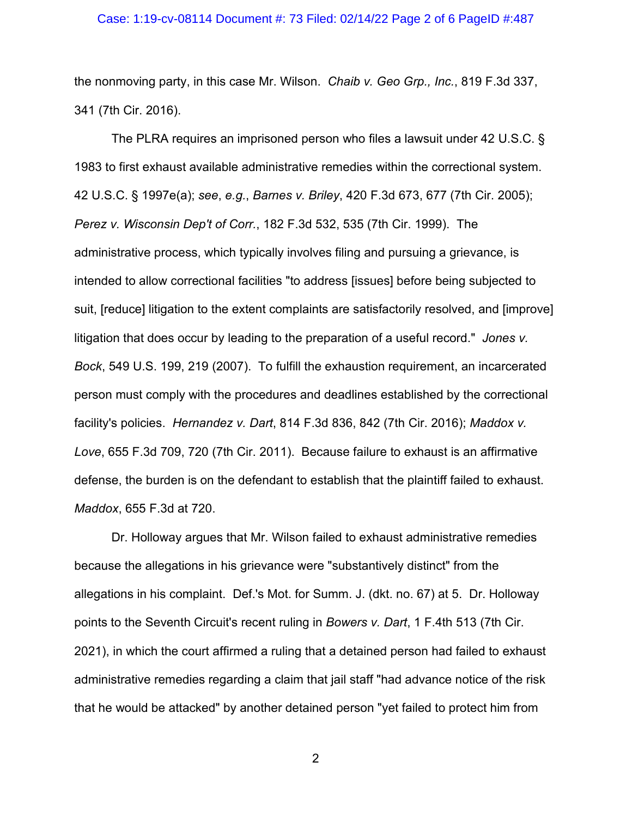### Case: 1:19-cv-08114 Document #: 73 Filed: 02/14/22 Page 2 of 6 PageID #:487

the nonmoving party, in this case Mr. Wilson. *Chaib v. Geo Grp., Inc.*, 819 F.3d 337, 341 (7th Cir. 2016).

The PLRA requires an imprisoned person who files a lawsuit under 42 U.S.C. § 1983 to first exhaust available administrative remedies within the correctional system. 42 U.S.C. § 1997e(a); *see*, *e.g.*, *Barnes v. Briley*, 420 F.3d 673, 677 (7th Cir. 2005); *Perez v. Wisconsin Dep't of Corr.*, 182 F.3d 532, 535 (7th Cir. 1999). The administrative process, which typically involves filing and pursuing a grievance, is intended to allow correctional facilities "to address [issues] before being subjected to suit, [reduce] litigation to the extent complaints are satisfactorily resolved, and [improve] litigation that does occur by leading to the preparation of a useful record." *Jones v. Bock*, 549 U.S. 199, 219 (2007). To fulfill the exhaustion requirement, an incarcerated person must comply with the procedures and deadlines established by the correctional facility's policies. *Hernandez v. Dart*, 814 F.3d 836, 842 (7th Cir. 2016); *Maddox v. Love*, 655 F.3d 709, 720 (7th Cir. 2011). Because failure to exhaust is an affirmative defense, the burden is on the defendant to establish that the plaintiff failed to exhaust. *Maddox*, 655 F.3d at 720.

Dr. Holloway argues that Mr. Wilson failed to exhaust administrative remedies because the allegations in his grievance were "substantively distinct" from the allegations in his complaint. Def.'s Mot. for Summ. J. (dkt. no. 67) at 5. Dr. Holloway points to the Seventh Circuit's recent ruling in *Bowers v. Dart*, 1 F.4th 513 (7th Cir. 2021), in which the court affirmed a ruling that a detained person had failed to exhaust administrative remedies regarding a claim that jail staff "had advance notice of the risk that he would be attacked" by another detained person "yet failed to protect him from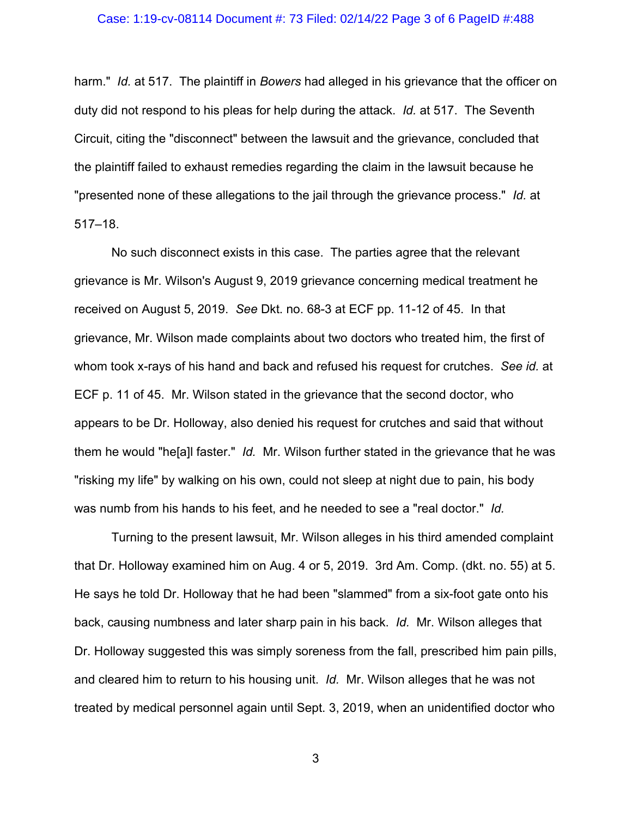#### Case: 1:19-cv-08114 Document #: 73 Filed: 02/14/22 Page 3 of 6 PageID #:488

harm." *Id.* at 517. The plaintiff in *Bowers* had alleged in his grievance that the officer on duty did not respond to his pleas for help during the attack. *Id.* at 517. The Seventh Circuit, citing the "disconnect" between the lawsuit and the grievance, concluded that the plaintiff failed to exhaust remedies regarding the claim in the lawsuit because he "presented none of these allegations to the jail through the grievance process." *Id.* at 517–18.

No such disconnect exists in this case. The parties agree that the relevant grievance is Mr. Wilson's August 9, 2019 grievance concerning medical treatment he received on August 5, 2019. *See* Dkt. no. 68-3 at ECF pp. 11-12 of 45. In that grievance, Mr. Wilson made complaints about two doctors who treated him, the first of whom took x-rays of his hand and back and refused his request for crutches. *See id.* at ECF p. 11 of 45. Mr. Wilson stated in the grievance that the second doctor, who appears to be Dr. Holloway, also denied his request for crutches and said that without them he would "he[a]l faster." *Id.* Mr. Wilson further stated in the grievance that he was "risking my life" by walking on his own, could not sleep at night due to pain, his body was numb from his hands to his feet, and he needed to see a "real doctor." *Id.*

Turning to the present lawsuit, Mr. Wilson alleges in his third amended complaint that Dr. Holloway examined him on Aug. 4 or 5, 2019. 3rd Am. Comp. (dkt. no. 55) at 5. He says he told Dr. Holloway that he had been "slammed" from a six-foot gate onto his back, causing numbness and later sharp pain in his back. *Id.* Mr. Wilson alleges that Dr. Holloway suggested this was simply soreness from the fall, prescribed him pain pills, and cleared him to return to his housing unit. *Id.* Mr. Wilson alleges that he was not treated by medical personnel again until Sept. 3, 2019, when an unidentified doctor who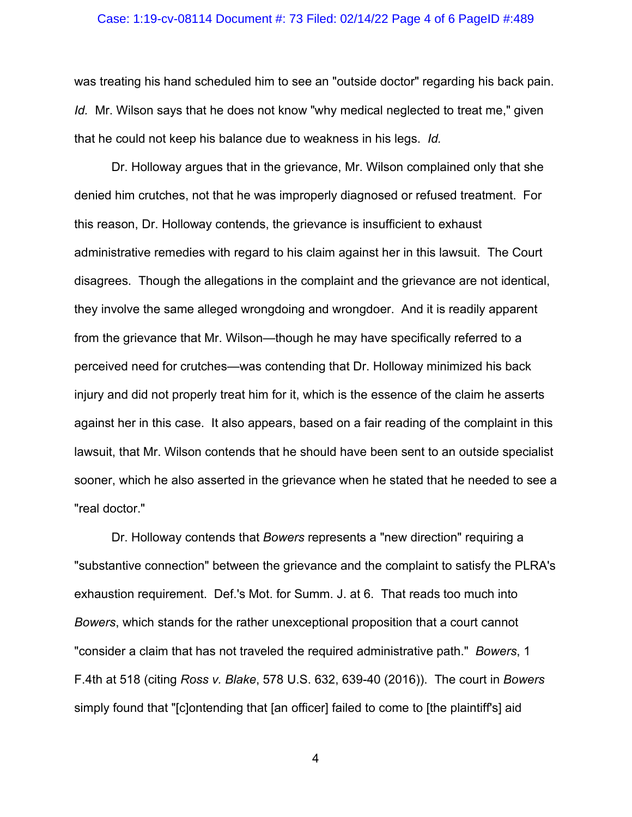### Case: 1:19-cv-08114 Document #: 73 Filed: 02/14/22 Page 4 of 6 PageID #:489

was treating his hand scheduled him to see an "outside doctor" regarding his back pain. *Id.* Mr. Wilson says that he does not know "why medical neglected to treat me," given that he could not keep his balance due to weakness in his legs. *Id.*

Dr. Holloway argues that in the grievance, Mr. Wilson complained only that she denied him crutches, not that he was improperly diagnosed or refused treatment. For this reason, Dr. Holloway contends, the grievance is insufficient to exhaust administrative remedies with regard to his claim against her in this lawsuit. The Court disagrees. Though the allegations in the complaint and the grievance are not identical, they involve the same alleged wrongdoing and wrongdoer. And it is readily apparent from the grievance that Mr. Wilson—though he may have specifically referred to a perceived need for crutches—was contending that Dr. Holloway minimized his back injury and did not properly treat him for it, which is the essence of the claim he asserts against her in this case. It also appears, based on a fair reading of the complaint in this lawsuit, that Mr. Wilson contends that he should have been sent to an outside specialist sooner, which he also asserted in the grievance when he stated that he needed to see a "real doctor."

Dr. Holloway contends that *Bowers* represents a "new direction" requiring a "substantive connection" between the grievance and the complaint to satisfy the PLRA's exhaustion requirement. Def.'s Mot. for Summ. J. at 6. That reads too much into *Bowers*, which stands for the rather unexceptional proposition that a court cannot "consider a claim that has not traveled the required administrative path." *Bowers*, 1 F.4th at 518 (citing *Ross v. Blake*, 578 U.S. 632, 639-40 (2016)). The court in *Bowers*  simply found that "[c]ontending that [an officer] failed to come to [the plaintiff's] aid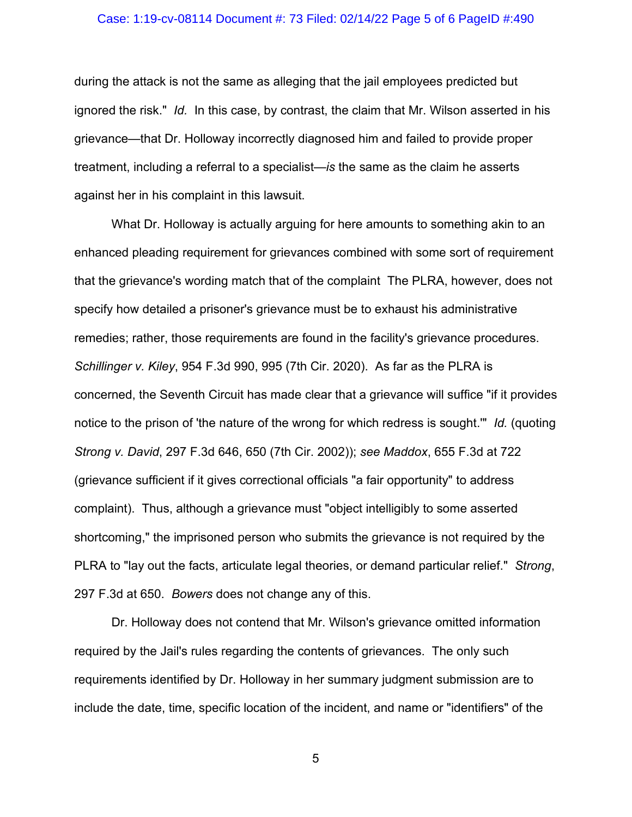### Case: 1:19-cv-08114 Document #: 73 Filed: 02/14/22 Page 5 of 6 PageID #:490

during the attack is not the same as alleging that the jail employees predicted but ignored the risk." *Id.* In this case, by contrast, the claim that Mr. Wilson asserted in his grievance—that Dr. Holloway incorrectly diagnosed him and failed to provide proper treatment, including a referral to a specialist—*is* the same as the claim he asserts against her in his complaint in this lawsuit.

What Dr. Holloway is actually arguing for here amounts to something akin to an enhanced pleading requirement for grievances combined with some sort of requirement that the grievance's wording match that of the complaint The PLRA, however, does not specify how detailed a prisoner's grievance must be to exhaust his administrative remedies; rather, those requirements are found in the facility's grievance procedures. *Schillinger v. Kiley*, 954 F.3d 990, 995 (7th Cir. 2020). As far as the PLRA is concerned, the Seventh Circuit has made clear that a grievance will suffice "if it provides notice to the prison of 'the nature of the wrong for which redress is sought.'" *Id.* (quoting *Strong v. David*, 297 F.3d 646, 650 (7th Cir. 2002)); *see Maddox*, 655 F.3d at 722 (grievance sufficient if it gives correctional officials "a fair opportunity" to address complaint). Thus, although a grievance must "object intelligibly to some asserted shortcoming," the imprisoned person who submits the grievance is not required by the PLRA to "lay out the facts, articulate legal theories, or demand particular relief." *Strong*, 297 F.3d at 650. *Bowers* does not change any of this.

Dr. Holloway does not contend that Mr. Wilson's grievance omitted information required by the Jail's rules regarding the contents of grievances. The only such requirements identified by Dr. Holloway in her summary judgment submission are to include the date, time, specific location of the incident, and name or "identifiers" of the